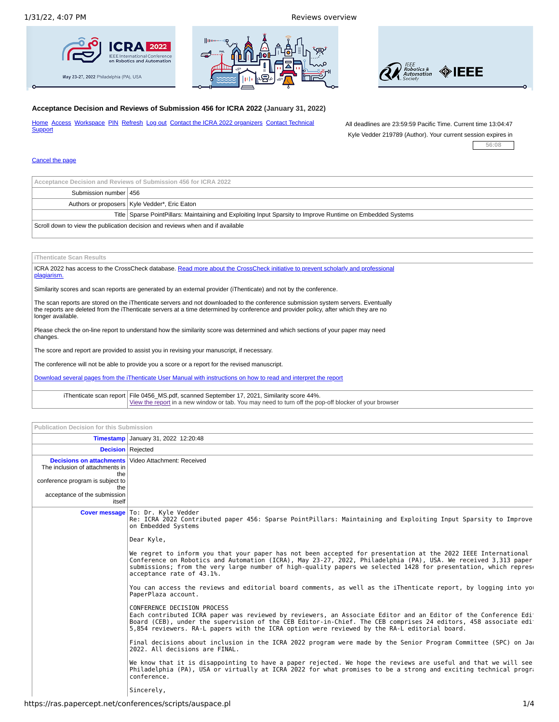





## **Acceptance Decision and Reviews of Submission 456 for ICRA 2022 (January 31, 2022)**

[Home](javascript:command() [Access](javascript:command() [Workspace](mailto:ras.101@papercept.net?subject=ICRA%202022%20--%20Enquiry%20%23219789-16) [PIN](https://ras.papercept.net/conferences/scripts/pinwizard.pl) [Refresh](javascript:command() [Log](javascript:command() out Contact the ICRA 2022 [organizers](mailto:omalleym@rice.edu?subject=ICRA%202022) Contact Technical **Support** 

All deadlines are 23:59:59 Pacific Time. Current time 13:04:47 Kyle Vedder 219789 (Author). Your current session expires in

**56:08**

## [Cancel](javascript:command() the page

| Acceptance Decision and Reviews of Submission 456 for ICRA 2022                |                                                                                                             |  |
|--------------------------------------------------------------------------------|-------------------------------------------------------------------------------------------------------------|--|
| Submission number 456                                                          |                                                                                                             |  |
|                                                                                | Authors or proposers   Kyle Vedder*, Eric Eaton                                                             |  |
|                                                                                | Title Sparse PointPillars: Maintaining and Exploiting Input Sparsity to Improve Runtime on Embedded Systems |  |
| Scroll down to view the publication decision and reviews when and if available |                                                                                                             |  |

## **iThenticate Scan Results**

ICRA 2022 has access to the [CrossCheck](http://www.crossref.org/crosscheck.html) database. Read more about the CrossCheck initiative to prevent scholarly and professional plagiarism.

Similarity scores and scan reports are generated by an external provider (iThenticate) and not by the conference.

The scan reports are stored on the iThenticate servers and not downloaded to the conference submission system servers. Eventually the reports are deleted from the iThenticate servers at a time determined by conference and provider policy, after which they are no longer available.

Please check the on-line report to understand how the similarity score was determined and which sections of your paper may need changes.

The score and report are provided to assist you in revising your manuscript, if necessary.

The conference will not be able to provide you a score or a report for the revised manuscript.

Download several pages from the iThenticate User Manual with [instructions](http://ras.papercept.net/conferences/manuals/staff/ViewingiThenticateReports.pdf) on how to read and interpret the report

iThenticate scan [report](https://ras.papercept.net/conferences/templates/) | File 0456\_MS.pdf, scanned September 17, 2021, Similarity score 44%.<br><u>View the report</u> in a new window or tab. You may need to turn off the pop-off blocker of your browser |

| Publication Decision for this Submission                                |                                                                                                                                                                                                                                                                                                                                                                                |  |  |
|-------------------------------------------------------------------------|--------------------------------------------------------------------------------------------------------------------------------------------------------------------------------------------------------------------------------------------------------------------------------------------------------------------------------------------------------------------------------|--|--|
|                                                                         | <b>Timestamp</b> January 31, 2022 12:20:48                                                                                                                                                                                                                                                                                                                                     |  |  |
| <b>Decision</b> Rejected                                                |                                                                                                                                                                                                                                                                                                                                                                                |  |  |
| The inclusion of attachments in<br>the                                  | <b>Decisions on attachments</b> Video Attachment: Received                                                                                                                                                                                                                                                                                                                     |  |  |
| conference program is subject to<br>the<br>acceptance of the submission |                                                                                                                                                                                                                                                                                                                                                                                |  |  |
| itself                                                                  |                                                                                                                                                                                                                                                                                                                                                                                |  |  |
|                                                                         | Cover message   To: Dr. Kyle Vedder<br>Re: ICRA 2022 Contributed paper 456: Sparse PointPillars: Maintaining and Exploiting Input Sparsity to Improve<br>on Embedded Systems                                                                                                                                                                                                   |  |  |
|                                                                         | Dear Kyle,                                                                                                                                                                                                                                                                                                                                                                     |  |  |
|                                                                         | We regret to inform you that your paper has not been accepted for presentation at the 2022 IEEE International<br>Conference on Robotics and Automation (ICRA), May 23-27, 2022, Philadelphia (PA), USA. We received 3,313 paper<br>submissions; from the very large number of high-quality papers we selected 1428 for presentation, which repres<br>acceptance rate of 43.1%. |  |  |
|                                                                         | You can access the reviews and editorial board comments, as well as the iThenticate report, by logging into yo<br>PaperPlaza account.                                                                                                                                                                                                                                          |  |  |
|                                                                         | CONFERENCE DECISION PROCESS<br>Each contributed ICRA paper was reviewed by reviewers, an Associate Editor and an Editor of the Conference Edi<br>Board (CEB), under the supervision of the CEB Editor-in-Chief. The CEB comprises 24 editors, 458 associate edi<br>5,854 reviewers. RA-L papers with the ICRA option were reviewed by the RA-L editorial board.                |  |  |
|                                                                         | Final decisions about inclusion in the ICRA 2022 program were made by the Senior Program Committee (SPC) on Ja<br>2022. All decisions are FINAL.                                                                                                                                                                                                                               |  |  |
|                                                                         | We know that it is disappointing to have a paper rejected. We hope the reviews are useful and that we will see<br>Philadelphia (PA), USA or virtually at ICRA 2022 for what promises to be a strong and exciting technical progra<br>conference.                                                                                                                               |  |  |
|                                                                         | Sincerely,                                                                                                                                                                                                                                                                                                                                                                     |  |  |
|                                                                         | .                                                                                                                                                                                                                                                                                                                                                                              |  |  |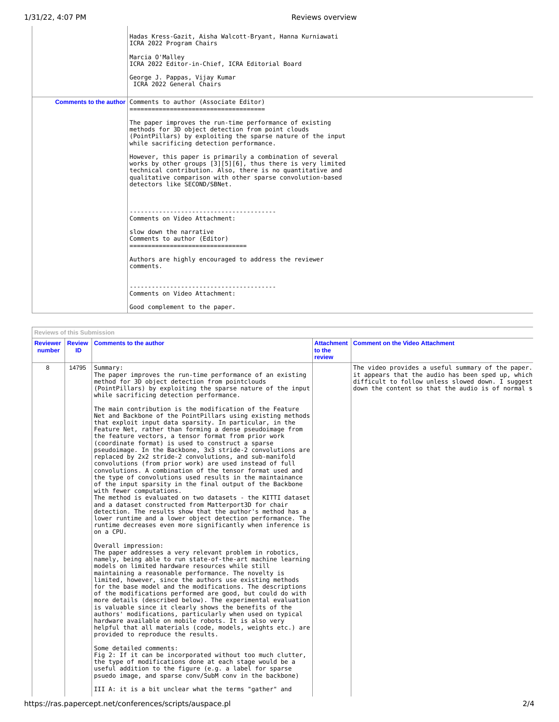ľ

| Hadas Kress-Gazit, Aisha Walcott-Bryant, Hanna Kurniawati<br>ICRA 2022 Program Chairs<br>Marcia O'Malley<br>ICRA 2022 Editor-in-Chief, ICRA Editorial Board<br>George J. Pappas, Vijay Kumar<br>ICRA 2022 General Chairs                                                                                                                                                                                                                                                                                                                                                               |
|----------------------------------------------------------------------------------------------------------------------------------------------------------------------------------------------------------------------------------------------------------------------------------------------------------------------------------------------------------------------------------------------------------------------------------------------------------------------------------------------------------------------------------------------------------------------------------------|
| <b>Comments to the author Comments to author (Associate Editor)</b><br>The paper improves the run-time performance of existing<br>methods for 3D object detection from point clouds<br>(PointPillars) by exploiting the sparse nature of the input<br>while sacrificing detection performance.<br>However, this paper is primarily a combination of several<br>works by other groups [3][5][6], thus there is very limited<br>technical contribution. Also, there is no quantitative and<br>qualitative comparison with other sparse convolution-based<br>detectors like SECOND/SBNet. |
| Comments on Video Attachment:<br>slow down the narrative<br>Comments to author (Editor)<br>__________________________________<br>Authors are highly encouraged to address the reviewer<br>comments.<br>Comments on Video Attachment:<br>Good complement to the paper.                                                                                                                                                                                                                                                                                                                  |

| <b>Reviewer</b><br>number | <b>Review</b><br>ID | <b>Comments to the author</b>                                                                                                                                                                                                                                                                                                                                                                                                                                                                                                                                                                                                                                                                                                                                                                                                                                                                                   | <b>Attachment</b><br>to the<br>review | <b>Comment on the Video Attachment</b>                                                                                                                                                                           |
|---------------------------|---------------------|-----------------------------------------------------------------------------------------------------------------------------------------------------------------------------------------------------------------------------------------------------------------------------------------------------------------------------------------------------------------------------------------------------------------------------------------------------------------------------------------------------------------------------------------------------------------------------------------------------------------------------------------------------------------------------------------------------------------------------------------------------------------------------------------------------------------------------------------------------------------------------------------------------------------|---------------------------------------|------------------------------------------------------------------------------------------------------------------------------------------------------------------------------------------------------------------|
| 8                         | 14795               | Summary:<br>The paper improves the run-time performance of an existing<br>method for 3D object detection from pointclouds<br>(PointPillars) by exploiting the sparse nature of the input<br>while sacrificing detection performance.<br>The main contribution is the modification of the Feature<br>Net and Backbone of the PointPillars using existing methods<br>that exploit input data sparsity. In particular, in the                                                                                                                                                                                                                                                                                                                                                                                                                                                                                      |                                       | The video provides a useful summary of the paper.<br>it appears that the audio has been sped up, which<br>difficult to follow unless slowed down. I suggest<br>down the content so that the audio is of normal s |
|                           |                     | Feature Net, rather than forming a dense pseudoimage from<br>the feature vectors, a tensor format from prior work<br>(coordinate format) is used to construct a sparse<br>pseudoimage. In the Backbone, 3x3 stride-2 convolutions are<br>replaced by 2x2 stride-2 convolutions, and sub-manifold<br>convolutions (from prior work) are used instead of full<br>convolutions. A combination of the tensor format used and<br>the type of convolutions used results in the maintainance<br>of the input sparsity in the final output of the Backbone<br>with fewer computations.<br>The method is evaluated on two datasets - the KITTI dataset<br>and a dataset constructed from Matterport3D for chair<br>detection. The results show that the author's method has a<br>lower runtime and a lower object detection performance. The<br>runtime decreases even more significantly when inference is<br>on a CPU. |                                       |                                                                                                                                                                                                                  |
|                           |                     | Overall impression:<br>The paper addresses a very relevant problem in robotics,<br>namely, being able to run state-of-the-art machine learning<br>models on limited hardware resources while still<br>maintaining a reasonable performance. The novelty is<br>limited, however, since the authors use existing methods<br>for the base model and the modifications. The descriptions<br>of the modifications performed are good, but could do with<br>more details (described below). The experimental evaluation<br>is valuable since it clearly shows the benefits of the<br>authors' modifications, particularly when used on typical<br>hardware available on mobile robots. It is also very<br>helpful that all materials (code, models, weights etc.) are<br>provided to reproduce the results.                                                                                                           |                                       |                                                                                                                                                                                                                  |
|                           |                     | Some detailed comments:<br>Fig 2: If it can be incorporated without too much clutter,<br>the type of modifications done at each stage would be a<br>useful addition to the figure (e.g. a label for sparse<br>psuedo image, and sparse conv/SubM conv in the backbone)<br>III A: it is a bit unclear what the terms "gather" and                                                                                                                                                                                                                                                                                                                                                                                                                                                                                                                                                                                |                                       |                                                                                                                                                                                                                  |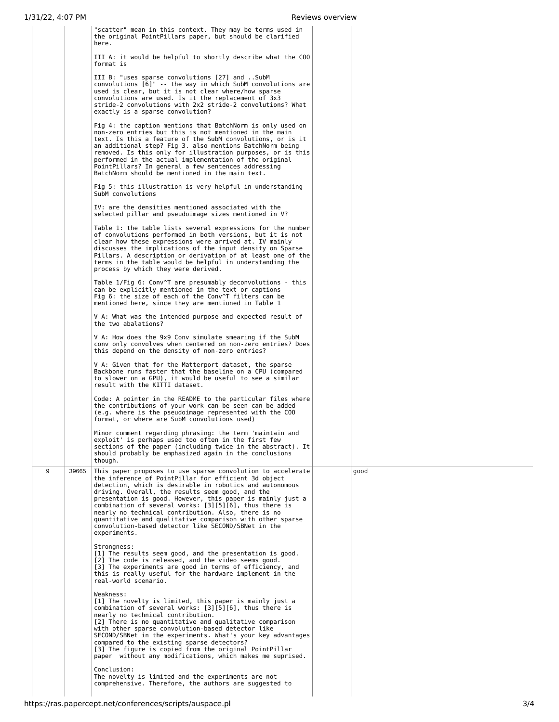|   |       | "scatter" mean in this context. They may be terms used in<br>the original PointPillars paper, but should be clarified<br>here.                                                                                                                                                                                                                                                                                                                                                                                                                         |      |
|---|-------|--------------------------------------------------------------------------------------------------------------------------------------------------------------------------------------------------------------------------------------------------------------------------------------------------------------------------------------------------------------------------------------------------------------------------------------------------------------------------------------------------------------------------------------------------------|------|
|   |       | III A: it would be helpful to shortly describe what the COO<br>format is                                                                                                                                                                                                                                                                                                                                                                                                                                                                               |      |
|   |       | III B: "uses sparse convolutions [27] and SubM<br>convolutions [6]" -- the way in which SubM convolutions are<br>used is clear, but it is not clear where/how sparse<br>convolutions are used. Is it the replacement of 3x3<br>stride-2 convolutions with 2x2 stride-2 convolutions? What<br>exactly is a sparse convolution?                                                                                                                                                                                                                          |      |
|   |       | Fig 4: the caption mentions that BatchNorm is only used on<br>non-zero entries but this is not mentioned in the main<br>text. Is this a feature of the SubM convolutions, or is it<br>an additional step? Fig 3. also mentions BatchNorm being<br>removed. Is this only for illustration purposes, or is this<br>performed in the actual implementation of the original<br>PointPillars? In general a few sentences addressing<br>BatchNorm should be mentioned in the main text.                                                                      |      |
|   |       | Fig 5: this illustration is very helpful in understanding<br>SubM convolutions                                                                                                                                                                                                                                                                                                                                                                                                                                                                         |      |
|   |       | IV: are the densities mentioned associated with the<br>selected pillar and pseudoimage sizes mentioned in V?                                                                                                                                                                                                                                                                                                                                                                                                                                           |      |
|   |       | Table 1: the table lists several expressions for the number<br>of convolutions performed in both versions, but it is not<br>clear how these expressions were arrived at. IV mainly<br>discusses the implications of the input density on Sparse<br>Pillars. A description or derivation of at least one of the<br>terms in the table would be helpful in understanding the<br>process by which they were derived.                                                                                                                                      |      |
|   |       | Table 1/Fig 6: Conv <sup>o</sup> T are presumably deconvolutions - this<br>can be explicitly mentioned in the text or captions<br>Fig 6: the size of each of the Conv <sup>o</sup> T filters can be<br>mentioned here, since they are mentioned in Table 1                                                                                                                                                                                                                                                                                             |      |
|   |       | V A: What was the intended purpose and expected result of<br>the two abalations?                                                                                                                                                                                                                                                                                                                                                                                                                                                                       |      |
|   |       | V A: How does the 9x9 Conv simulate smearing if the SubM<br>conv only convolves when centered on non-zero entries? Does<br>this depend on the density of non-zero entries?                                                                                                                                                                                                                                                                                                                                                                             |      |
|   |       | V A: Given that for the Matterport dataset, the sparse<br>Backbone runs faster that the baseline on a CPU (compared<br>to slower on a GPU), it would be useful to see a similar<br>result with the KITTI dataset.                                                                                                                                                                                                                                                                                                                                      |      |
|   |       | Code: A pointer in the README to the particular files where<br>the contributions of your work can be seen can be added<br>(e.g. where is the pseudoimage represented with the COO<br>format, or where are SubM convolutions used)                                                                                                                                                                                                                                                                                                                      |      |
|   |       | Minor comment regarding phrasing: the term 'maintain and<br>exploit' is perhaps used too often in the first few<br>sections of the paper (including twice in the abstract). It<br>should probably be emphasized again in the conclusions<br>though.                                                                                                                                                                                                                                                                                                    |      |
| 9 | 39665 | This paper proposes to use sparse convolution to accelerate<br>the inference of PointPillar for efficient 3d object<br>detection, which is desirable in robotics and autonomous<br>driving. Overall, the results seem good, and the<br>presentation is good. However, this paper is mainly just a<br>combination of several works: [3][5][6], thus there is<br>nearly no technical contribution. Also, there is no<br>quantitative and qualitative comparison with other sparse<br>convolution-based detector like SECOND/SBNet in the<br>experiments. | good |
|   |       | Strongness:<br>[1] The results seem good, and the presentation is good.<br>[2] The code is released, and the video seems good.<br>[3] The experiments are good in terms of efficiency, and<br>this is really useful for the hardware implement in the<br>real-world scenario.                                                                                                                                                                                                                                                                          |      |
|   |       | Weakness:<br>[1] The novelty is limited, this paper is mainly just a<br>combination of several works: [3][5][6], thus there is<br>nearly no technical contribution.<br>[2] There is no quantitative and qualitative comparison<br>with other sparse convolution-based detector like<br>SECOND/SBNet in the experiments. What's your key advantages<br>compared to the existing sparse detectors?<br>[3] The figure is copied from the original PointPillar<br>paper without any modifications, which makes me suprised.                                |      |
|   |       | Conclusion:<br>The novelty is limited and the experiments are not<br>comprehensive. Therefore, the authors are suggested to                                                                                                                                                                                                                                                                                                                                                                                                                            |      |